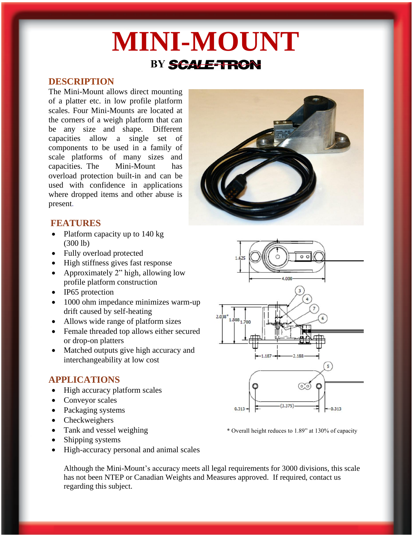# **MINI-MOUNT BY** SCALE-TRON

# **DESCRIPTION**

The Mini-Mount allows direct mounting of a platter etc. in low profile platform scales. Four Mini-Mounts are located at the corners of a weigh platform that can be any size and shape. Different capacities allow a single set of components to be used in a family of scale platforms of many sizes and capacities. The Mini-Mount has overload protection built-in and can be used with confidence in applications where dropped items and other abuse is present.



## **FEATURES**

- Platform capacity up to 140 kg (300 lb)
- Fully overload protected
- High stiffness gives fast response
- Approximately 2" high, allowing low profile platform construction
- IP65 protection
- 1000 ohm impedance minimizes warm-up drift caused by self-heating
- Allows wide range of platform sizes
- Female threaded top allows either secured or drop-on platters
- Matched outputs give high accuracy and interchangeability at low cost

# **APPLICATIONS**

- High accuracy platform scales
- Conveyor scales
- Packaging systems
- Checkweighers
- Tank and vessel weighing \* 0verall height reduces to 1.89" at 130% of capacity
- Shipping systems
- High-accuracy personal and animal scales

Although the Mini-Mount's accuracy meets all legal requirements for 3000 divisions, this scale has not been NTEP or Canadian Weights and Measures approved. If required, contact us regarding this subject.